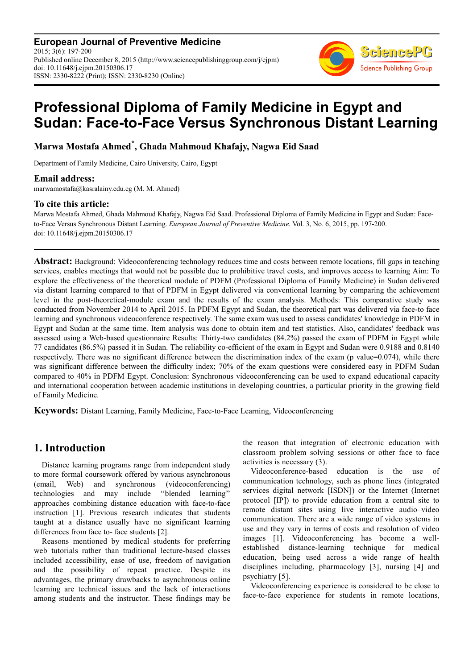**European Journal of Preventive Medicine** 2015; 3(6): 197-200 Published online December 8, 2015 (http://www.sciencepublishinggroup.com/j/ejpm) doi: 10.11648/j.ejpm.20150306.17 ISSN: 2330-8222 (Print); ISSN: 2330-8230 (Online)



# **Professional Diploma of Family Medicine in Egypt and Sudan: Face-to-Face Versus Synchronous Distant Learning**

**Marwa Mostafa Ahmed\* , Ghada Mahmoud Khafajy, Nagwa Eid Saad** 

Department of Family Medicine, Cairo University, Cairo, Egypt

#### **Email address:**

marwamostafa@kasralainy.edu.eg (M. M. Ahmed)

#### **To cite this article:**

Marwa Mostafa Ahmed, Ghada Mahmoud Khafajy, Nagwa Eid Saad. Professional Diploma of Family Medicine in Egypt and Sudan: Faceto-Face Versus Synchronous Distant Learning. *European Journal of Preventive Medicine.* Vol. 3, No. 6, 2015, pp. 197-200. doi: 10.11648/j.ejpm.20150306.17

**Abstract:** Background: Videoconferencing technology reduces time and costs between remote locations, fill gaps in teaching services, enables meetings that would not be possible due to prohibitive travel costs, and improves access to learning Aim: To explore the effectiveness of the theoretical module of PDFM (Professional Diploma of Family Medicine) in Sudan delivered via distant learning compared to that of PDFM in Egypt delivered via conventional learning by comparing the achievement level in the post-theoretical-module exam and the results of the exam analysis. Methods: This comparative study was conducted from November 2014 to April 2015. In PDFM Egypt and Sudan, the theoretical part was delivered via face-to face learning and synchronous videoconference respectively. The same exam was used to assess candidates' knowledge in PDFM in Egypt and Sudan at the same time. Item analysis was done to obtain item and test statistics. Also, candidates' feedback was assessed using a Web-based questionnaire Results: Thirty-two candidates (84.2%) passed the exam of PDFM in Egypt while 77 candidates (86.5%) passed it in Sudan. The reliability co-efficient of the exam in Egypt and Sudan were 0.9188 and 0.8140 respectively. There was no significant difference between the discrimination index of the exam (p value=0.074), while there was significant difference between the difficulty index; 70% of the exam questions were considered easy in PDFM Sudan compared to 40% in PDFM Egypt. Conclusion: Synchronous videoconferencing can be used to expand educational capacity and international cooperation between academic institutions in developing countries, a particular priority in the growing field of Family Medicine.

**Keywords:** Distant Learning, Family Medicine, Face-to-Face Learning, Videoconferencing

## **1. Introduction**

Distance learning programs range from independent study to more formal coursework offered by various asynchronous (email, Web) and synchronous (videoconferencing)<br>technologies and may include "blended learning" technologies and may include approaches combining distance education with face-to-face instruction [1]. Previous research indicates that students taught at a distance usually have no significant learning differences from face to- face students [2].

Reasons mentioned by medical students for preferring web tutorials rather than traditional lecture-based classes included accessibility, ease of use, freedom of navigation and the possibility of repeat practice. Despite its advantages, the primary drawbacks to asynchronous online learning are technical issues and the lack of interactions among students and the instructor. These findings may be the reason that integration of electronic education with classroom problem solving sessions or other face to face activities is necessary (3).

Videoconference-based education is the use of communication technology, such as phone lines (integrated services digital network [ISDN]) or the Internet (Internet protocol [IP]) to provide education from a central site to remote distant sites using live interactive audio–video communication. There are a wide range of video systems in use and they vary in terms of costs and resolution of video images [1]. Videoconferencing has become a wellestablished distance-learning technique for medical education, being used across a wide range of health disciplines including, pharmacology [3], nursing [4] and psychiatry [5].

Videoconferencing experience is considered to be close to face-to-face experience for students in remote locations,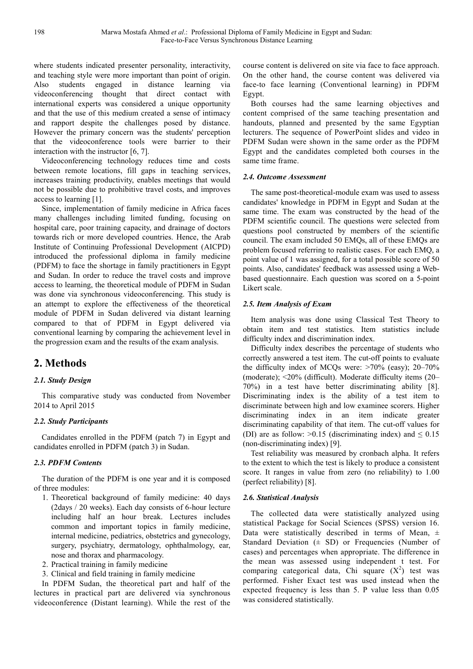where students indicated presenter personality, interactivity, and teaching style were more important than point of origin. Also students engaged in distance learning via videoconferencing thought that direct contact with international experts was considered a unique opportunity and that the use of this medium created a sense of intimacy and rapport despite the challenges posed by distance. However the primary concern was the students' perception that the videoconference tools were barrier to their interaction with the instructor [6, 7].

Videoconferencing technology reduces time and costs between remote locations, fill gaps in teaching services, increases training productivity, enables meetings that would not be possible due to prohibitive travel costs, and improves access to learning [1].

Since, implementation of family medicine in Africa faces many challenges including limited funding, focusing on hospital care, poor training capacity, and drainage of doctors towards rich or more developed countries. Hence, the Arab Institute of Continuing Professional Development (AICPD) introduced the professional diploma in family medicine (PDFM) to face the shortage in family practitioners in Egypt and Sudan. In order to reduce the travel costs and improve access to learning, the theoretical module of PDFM in Sudan was done via synchronous videoconferencing. This study is an attempt to explore the effectiveness of the theoretical module of PDFM in Sudan delivered via distant learning compared to that of PDFM in Egypt delivered via conventional learning by comparing the achievement level in the progression exam and the results of the exam analysis.

## **2. Methods**

#### *2.1. Study Design*

This comparative study was conducted from November 2014 to April 2015

#### *2.2. Study Participants*

Candidates enrolled in the PDFM (patch 7) in Egypt and candidates enrolled in PDFM (patch 3) in Sudan.

#### *2.3. PDFM Contents*

The duration of the PDFM is one year and it is composed of three modules:

- 1. Theoretical background of family medicine: 40 days (2days / 20 weeks). Each day consists of 6-hour lecture including half an hour break. Lectures includes common and important topics in family medicine, internal medicine, pediatrics, obstetrics and gynecology, surgery, psychiatry, dermatology, ophthalmology, ear, nose and thorax and pharmacology.
- 2. Practical training in family medicine
- 3. Clinical and field training in family medicine

In PDFM Sudan, the theoretical part and half of the lectures in practical part are delivered via synchronous videoconference (Distant learning). While the rest of the course content is delivered on site via face to face approach. On the other hand, the course content was delivered via face-to face learning (Conventional learning) in PDFM Egypt.

Both courses had the same learning objectives and content comprised of the same teaching presentation and handouts, planned and presented by the same Egyptian lecturers. The sequence of PowerPoint slides and video in PDFM Sudan were shown in the same order as the PDFM Egypt and the candidates completed both courses in the same time frame.

#### *2.4. Outcome Assessment*

The same post-theoretical-module exam was used to assess candidates' knowledge in PDFM in Egypt and Sudan at the same time. The exam was constructed by the head of the PDFM scientific council. The questions were selected from questions pool constructed by members of the scientific council. The exam included 50 EMQs, all of these EMQs are problem focused referring to realistic cases. For each EMQ, a point value of 1 was assigned, for a total possible score of 50 points. Also, candidates' feedback was assessed using a Webbased questionnaire. Each question was scored on a 5-point Likert scale.

#### *2.5. Item Analysis of Exam*

Item analysis was done using Classical Test Theory to obtain item and test statistics. Item statistics include difficulty index and discrimination index.

Difficulty index describes the percentage of students who correctly answered a test item. The cut-off points to evaluate the difficulty index of MCQs were: >70% (easy); 20–70% (moderate); <20% (difficult). Moderate difficulty items (20– 70%) in a test have better discriminating ability [8]. Discriminating index is the ability of a test item to discriminate between high and low examinee scorers. Higher discriminating index in an item indicate greater discriminating capability of that item. The cut-off values for (DI) are as follow:  $>0.15$  (discriminating index) and  $\leq 0.15$ (non-discriminating index) [9].

Test reliability was measured by cronbach alpha. It refers to the extent to which the test is likely to produce a consistent score. It ranges in value from zero (no reliability) to 1.00 (perfect reliability) [8].

#### *2.6. Statistical Analysis*

The collected data were statistically analyzed using statistical Package for Social Sciences (SPSS) version 16. Data were statistically described in terms of Mean,  $\pm$ Standard Deviation  $(± SD)$  or Frequencies (Number of cases) and percentages when appropriate. The difference in the mean was assessed using independent t test. For comparing categorical data, Chi square  $(X^2)$  test was performed. Fisher Exact test was used instead when the expected frequency is less than 5. P value less than 0.05 was considered statistically.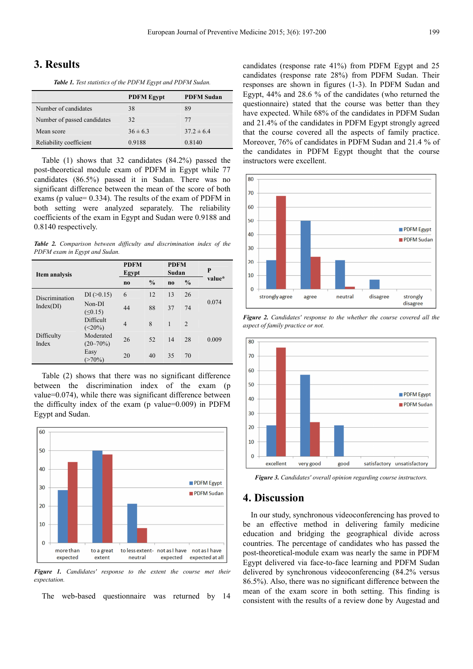## **3. Results**

*Table 1. Test statistics of the PDFM Egypt and PDFM Sudan.* 

|                             | <b>PDFM Egypt</b> | <b>PDFM Sudan</b> |  |
|-----------------------------|-------------------|-------------------|--|
| Number of candidates        | 38                | 89                |  |
| Number of passed candidates | 32                | 77                |  |
| Mean score                  | $36 \pm 6.3$      | $37.2 \pm 6.4$    |  |
| Reliability coefficient     | 0.9188            | 0.8140            |  |

Table (1) shows that 32 candidates (84.2%) passed the post-theoretical module exam of PDFM in Egypt while 77 candidates (86.5%) passed it in Sudan. There was no significant difference between the mean of the score of both exams (p value= 0.334). The results of the exam of PDFM in both setting were analyzed separately. The reliability coefficients of the exam in Egypt and Sudan were 0.9188 and 0.8140 respectively.

*Table 2. Comparison between difficulty and discrimination index of the PDFM exam in Egypt and Sudan.* 

| Item analysis               |                            | <b>PDFM</b><br>Egypt |               | <b>PDFM</b><br>Sudan |               | P      |
|-----------------------------|----------------------------|----------------------|---------------|----------------------|---------------|--------|
|                             |                            | n <sub>0</sub>       | $\frac{0}{0}$ | $\bf{no}$            | $\frac{0}{0}$ | value* |
| Discrimination<br>Index(DI) | $DI \, (> 0.15)$           | 6                    | 12            | 13                   | 26            |        |
|                             | Non-DI<br>(50.15)          | 44                   | 88            | 37                   | 74            | 0.074  |
| Difficulty<br>Index         | Difficult<br>$(<20\%)$     | $\overline{4}$       | 8             | 1                    | 2             |        |
|                             | Moderated<br>$(20 - 70\%)$ | 26                   | 52            | 14                   | 28            | 0.009  |
|                             | Easy<br>$(>70\%)$          | 20                   | 40            | 35                   | 70            |        |

Table (2) shows that there was no significant difference between the discrimination index of the exam (p value=0.074), while there was significant difference between the difficulty index of the exam (p value=0.009) in PDFM Egypt and Sudan.



*Figure 1. Candidates' response to the extent the course met their expectation.* 

The web-based questionnaire was returned by 14

candidates (response rate 41%) from PDFM Egypt and 25 candidates (response rate 28%) from PDFM Sudan. Their responses are shown in figures (1-3). In PDFM Sudan and Egypt, 44% and 28.6 % of the candidates (who returned the questionnaire) stated that the course was better than they have expected. While 68% of the candidates in PDFM Sudan and 21.4% of the candidates in PDFM Egypt strongly agreed that the course covered all the aspects of family practice. Moreover, 76% of candidates in PDFM Sudan and 21.4 % of the candidates in PDFM Egypt thought that the course instructors were excellent.



*Figure 2. Candidates' response to the whether the course covered all the aspect of family practice or not.* 



*Figure 3. Candidates' overall opinion regarding course instructors.* 

### **4. Discussion**

In our study, synchronous videoconferencing has proved to be an effective method in delivering family medicine education and bridging the geographical divide across countries. The percentage of candidates who has passed the post-theoretical-module exam was nearly the same in PDFM Egypt delivered via face-to-face learning and PDFM Sudan delivered by synchronous videoconferencing (84.2% versus 86.5%). Also, there was no significant difference between the mean of the exam score in both setting. This finding is consistent with the results of a review done by Augestad and